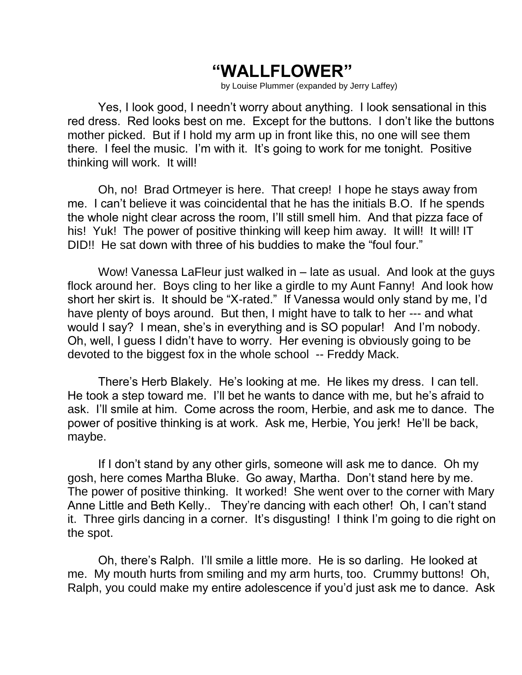## **"WALLFLOWER"**

by Louise Plummer (expanded by Jerry Laffey)

Yes, I look good, I needn't worry about anything. I look sensational in this red dress. Red looks best on me. Except for the buttons. I don't like the buttons mother picked. But if I hold my arm up in front like this, no one will see them there. I feel the music. I'm with it. It's going to work for me tonight. Positive thinking will work. It will!

Oh, no! Brad Ortmeyer is here. That creep! I hope he stays away from me. I can't believe it was coincidental that he has the initials B.O. If he spends the whole night clear across the room, I'll still smell him. And that pizza face of his! Yuk! The power of positive thinking will keep him away. It will! It will! IT DID!! He sat down with three of his buddies to make the "foul four."

Wow! Vanessa LaFleur just walked in – late as usual. And look at the guys flock around her. Boys cling to her like a girdle to my Aunt Fanny! And look how short her skirt is. It should be "X-rated." If Vanessa would only stand by me, I'd have plenty of boys around. But then, I might have to talk to her --- and what would I say? I mean, she's in everything and is SO popular! And I'm nobody. Oh, well, I guess I didn't have to worry. Her evening is obviously going to be devoted to the biggest fox in the whole school -- Freddy Mack.

There's Herb Blakely. He's looking at me. He likes my dress. I can tell. He took a step toward me. I'll bet he wants to dance with me, but he's afraid to ask. I'll smile at him. Come across the room, Herbie, and ask me to dance. The power of positive thinking is at work. Ask me, Herbie, You jerk! He'll be back, maybe.

If I don't stand by any other girls, someone will ask me to dance. Oh my gosh, here comes Martha Bluke. Go away, Martha. Don't stand here by me. The power of positive thinking. It worked! She went over to the corner with Mary Anne Little and Beth Kelly.. They're dancing with each other! Oh, I can't stand it. Three girls dancing in a corner. It's disgusting! I think I'm going to die right on the spot.

Oh, there's Ralph. I'll smile a little more. He is so darling. He looked at me. My mouth hurts from smiling and my arm hurts, too. Crummy buttons! Oh, Ralph, you could make my entire adolescence if you'd just ask me to dance. Ask